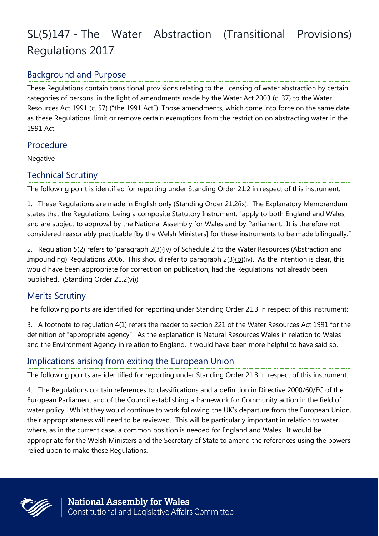# SL(5)147 - The Water Abstraction (Transitional Provisions) Regulations 2017

## Background and Purpose

These Regulations contain transitional provisions relating to the licensing of water abstraction by certain categories of persons, in the light of amendments made by the Water Act 2003 (c. 37) to the Water Resources Act 1991 (c. 57) ("the 1991 Act"). Those amendments, which come into force on the same date as these Regulations, limit or remove certain exemptions from the restriction on abstracting water in the 1991 Act.

#### **Procedure**

**Negative** 

#### Technical Scrutiny

The following point is identified for reporting under Standing Order 21.2 in respect of this instrument:

1. These Regulations are made in English only (Standing Order 21.2(ix). The Explanatory Memorandum states that the Regulations, being a composite Statutory Instrument, "apply to both England and Wales, and are subject to approval by the National Assembly for Wales and by Parliament. It is therefore not considered reasonably practicable [by the Welsh Ministers] for these instruments to be made bilingually."

2. Regulation 5(2) refers to 'paragraph 2(3)(iv) of Schedule 2 to the Water Resources (Abstraction and Impounding) Regulations 2006. This should refer to paragraph 2(3)(b)(iv). As the intention is clear, this would have been appropriate for correction on publication, had the Regulations not already been published. (Standing Order 21.2(vi))

## Merits Scrutiny

The following points are identified for reporting under Standing Order 21.3 in respect of this instrument:

3. A footnote to regulation 4(1) refers the reader to section 221 of the Water Resources Act 1991 for the definition of "appropriate agency". As the explanation is Natural Resources Wales in relation to Wales and the Environment Agency in relation to England, it would have been more helpful to have said so.

### Implications arising from exiting the European Union

The following points are identified for reporting under Standing Order 21.3 in respect of this instrument.

4. The Regulations contain references to classifications and a definition in Directive 2000/60/EC of the European Parliament and of the Council establishing a framework for Community action in the field of water policy. Whilst they would continue to work following the UK's departure from the European Union, their appropriateness will need to be reviewed. This will be particularly important in relation to water, where, as in the current case, a common position is needed for England and Wales. It would be appropriate for the Welsh Ministers and the Secretary of State to amend the references using the powers relied upon to make these Regulations.